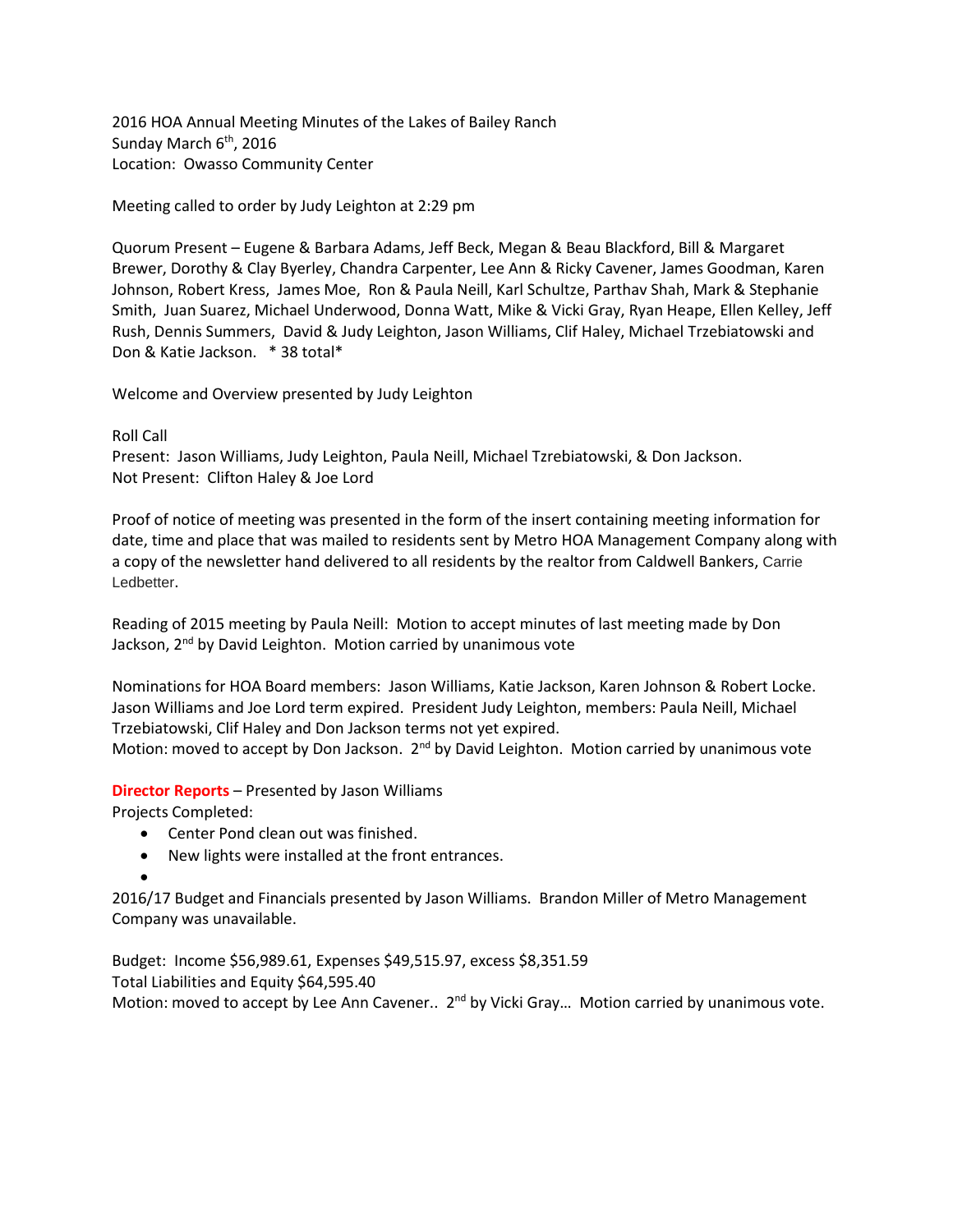2016 HOA Annual Meeting Minutes of the Lakes of Bailey Ranch Sunday March 6<sup>th</sup>, 2016 Location: Owasso Community Center

Meeting called to order by Judy Leighton at 2:29 pm

Quorum Present – Eugene & Barbara Adams, Jeff Beck, Megan & Beau Blackford, Bill & Margaret Brewer, Dorothy & Clay Byerley, Chandra Carpenter, Lee Ann & Ricky Cavener, James Goodman, Karen Johnson, Robert Kress, James Moe, Ron & Paula Neill, Karl Schultze, Parthav Shah, Mark & Stephanie Smith, Juan Suarez, Michael Underwood, Donna Watt, Mike & Vicki Gray, Ryan Heape, Ellen Kelley, Jeff Rush, Dennis Summers, David & Judy Leighton, Jason Williams, Clif Haley, Michael Trzebiatowski and Don & Katie Jackson. \* 38 total\*

Welcome and Overview presented by Judy Leighton

## Roll Call

Present: Jason Williams, Judy Leighton, Paula Neill, Michael Tzrebiatowski, & Don Jackson. Not Present: Clifton Haley & Joe Lord

Proof of notice of meeting was presented in the form of the insert containing meeting information for date, time and place that was mailed to residents sent by Metro HOA Management Company along with a copy of the newsletter hand delivered to all residents by the realtor from Caldwell Bankers, Carrie Ledbetter.

Reading of 2015 meeting by Paula Neill: Motion to accept minutes of last meeting made by Don Jackson, 2<sup>nd</sup> by David Leighton. Motion carried by unanimous vote

Nominations for HOA Board members: Jason Williams, Katie Jackson, Karen Johnson & Robert Locke. Jason Williams and Joe Lord term expired. President Judy Leighton, members: Paula Neill, Michael Trzebiatowski, Clif Haley and Don Jackson terms not yet expired.

Motion: moved to accept by Don Jackson.  $2<sup>nd</sup>$  by David Leighton. Motion carried by unanimous vote

**Director Reports** – Presented by Jason Williams

Projects Completed:

- Center Pond clean out was finished.
- New lights were installed at the front entrances.

 $\bullet$ 

2016/17 Budget and Financials presented by Jason Williams. Brandon Miller of Metro Management Company was unavailable.

Budget: Income \$56,989.61, Expenses \$49,515.97, excess \$8,351.59 Total Liabilities and Equity \$64,595.40 Motion: moved to accept by Lee Ann Cavener.. 2<sup>nd</sup> by Vicki Gray... Motion carried by unanimous vote.